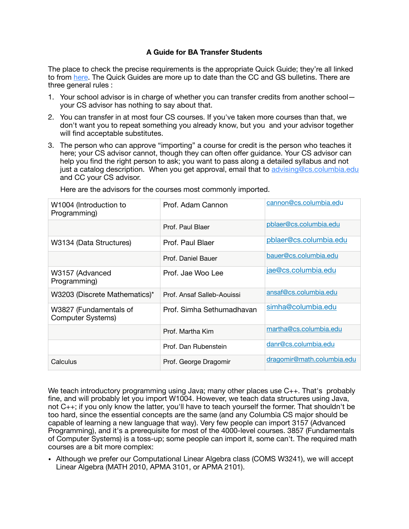## **A Guide for BA Transfer Students**

The place to check the precise requirements is the appropriate Quick Guide; they're all linked to from [here.](https://www.cs.columbia.edu/education/undergraduate/) The Quick Guides are more up to date than the CC and GS bulletins. There are three general rules :

- 1. Your school advisor is in charge of whether you can transfer credits from another school your CS advisor has nothing to say about that.
- 2. You can transfer in at most four CS courses. If you've taken more courses than that, we don't want you to repeat something you already know, but you and your advisor together will find acceptable substitutes.
- 3. The person who can approve "importing" a course for credit is the person who teaches it here; your CS advisor cannot, though they can often offer guidance. Your CS advisor can help you find the right person to ask; you want to pass along a detailed syllabus and not just a catalog description. When you get approval, email that to [advising@cs.columbia.edu](mailto:advising@cs.columbia.edu) and CC your CS advisor.

| W1004 (Introduction to<br>Programming)             | Prof. Adam Cannon          | cannon@cs.columbia.edu     |
|----------------------------------------------------|----------------------------|----------------------------|
|                                                    | Prof. Paul Blaer           | pblaer@cs.columbia.edu     |
| W3134 (Data Structures)                            | Prof. Paul Blaer           | pblaer@cs.columbia.edu     |
|                                                    | Prof. Daniel Bauer         | bauer@cs.columbia.edu      |
| W3157 (Advanced<br>Programming)                    | Prof. Jae Woo Lee          | jae@cs.columbia.edu        |
| W3203 (Discrete Mathematics)*                      | Prof. Ansaf Salleb-Aouissi | ansaf@cs.columbia.edu      |
| W3827 (Fundamentals of<br><b>Computer Systems)</b> | Prof. Simha Sethumadhavan  | simha@columbia.edu         |
|                                                    | Prof. Martha Kim           | martha@cs.columbia.edu     |
|                                                    | Prof. Dan Rubenstein       | danr@cs.columbia.edu       |
| Calculus                                           | Prof. George Dragomir      | dragomir@math.columbia.edu |

Here are the advisors for the courses most commonly imported.

We teach introductory programming using Java; many other places use C++. That's probably fine, and will probably let you import W1004. However, we teach data structures using Java, not C++; if you only know the latter, you'll have to teach yourself the former. That shouldn't be too hard, since the essential concepts are the same (and any Columbia CS major should be capable of learning a new language that way). Very few people can import 3157 (Advanced Programming), and it's a prerequisite for most of the 4000-level courses. 3857 (Fundamentals of Computer Systems) is a toss-up; some people can import it, some can't. The required math courses are a bit more complex:

• Although we prefer our Computational Linear Algebra class (COMS W3241), we will accept Linear Algebra (MATH 2010, APMA 3101, or APMA 2101).